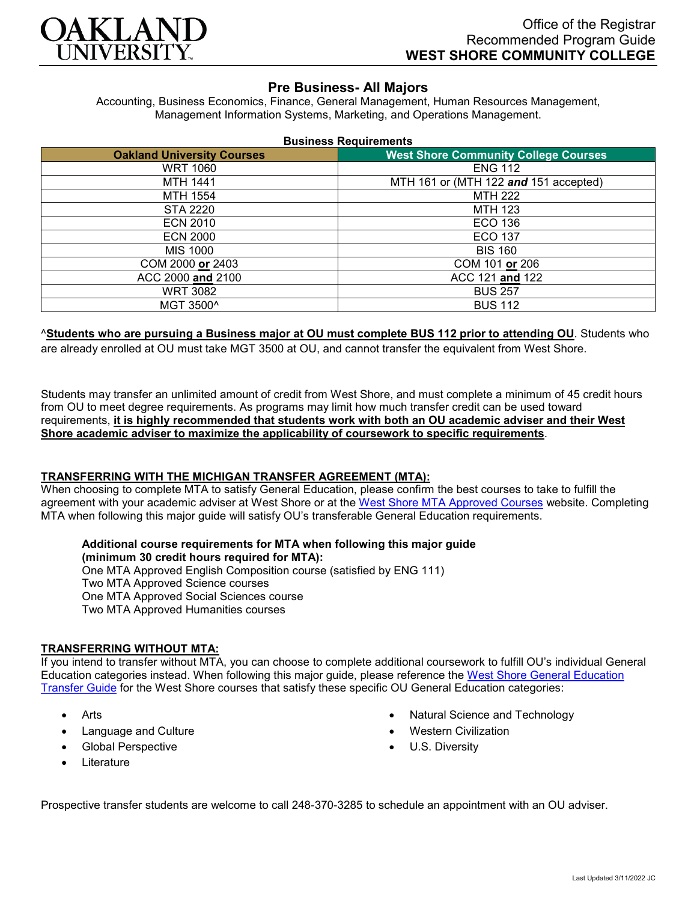

# **Pre Business- All Majors**

Accounting, Business Economics, Finance, General Management, Human Resources Management, Management Information Systems, Marketing, and Operations Management.

|                                   | <b>Business Requirements</b>                |
|-----------------------------------|---------------------------------------------|
| <b>Oakland University Courses</b> | <b>West Shore Community College Courses</b> |
| <b>WRT 1060</b>                   | <b>ENG 112</b>                              |
| MTH 1441                          | MTH 161 or (MTH 122 and 151 accepted)       |
| MTH 1554                          | <b>MTH 222</b>                              |
| STA 2220                          | MTH 123                                     |
| <b>ECN 2010</b>                   | ECO 136                                     |
| <b>ECN 2000</b>                   | ECO 137                                     |
| MIS 1000                          | <b>BIS 160</b>                              |
| COM 2000 or 2403                  | COM 101 or 206                              |
| ACC 2000 and 2100                 | ACC 121 and 122                             |
| <b>WRT 3082</b>                   | <b>BUS 257</b>                              |
| MGT 3500^                         | <b>BUS 112</b>                              |

## ^**Students who are pursuing a Business major at OU must complete BUS 112 prior to attending OU**. Students who

are already enrolled at OU must take MGT 3500 at OU, and cannot transfer the equivalent from West Shore.

Students may transfer an unlimited amount of credit from West Shore, and must complete a minimum of 45 credit hours from OU to meet degree requirements. As programs may limit how much transfer credit can be used toward requirements, **it is highly recommended that students work with both an OU academic adviser and their West Shore academic adviser to maximize the applicability of coursework to specific requirements**.

#### **TRANSFERRING WITH THE MICHIGAN TRANSFER AGREEMENT (MTA):**

When choosing to complete MTA to satisfy General Education, please confirm the best courses to take to fulfill the agreement with your academic adviser at West Shore or at the [West Shore MTA Approved Courses](https://www.westshore.edu/admissions/transfer-students/) website. Completing MTA when following this major guide will satisfy OU's transferable General Education requirements.

**Additional course requirements for MTA when following this major guide (minimum 30 credit hours required for MTA):** One MTA Approved English Composition course (satisfied by ENG 111) Two MTA Approved Science courses One MTA Approved Social Sciences course Two MTA Approved Humanities courses

#### **TRANSFERRING WITHOUT MTA:**

If you intend to transfer without MTA, you can choose to complete additional coursework to fulfill OU's individual General Education categories instead. When following this major guide, please reference the West Shore General Education [Transfer Guide](https://www.oakland.edu/Assets/Oakland/program-guides/west-shore-community-college/university-general-education-requirements/West%20Shore%20Gen%20Ed.pdf) for the West Shore courses that satisfy these specific OU General Education categories:

- **Arts**
- Language and Culture
- Global Perspective
- **Literature**
- Natural Science and Technology
- Western Civilization
- U.S. Diversity

Prospective transfer students are welcome to call 248-370-3285 to schedule an appointment with an OU adviser.